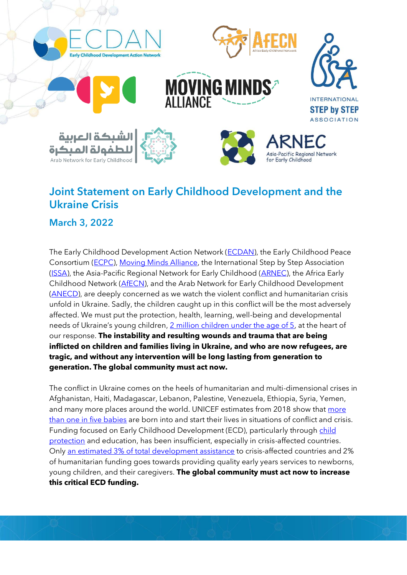

## Joint Statement on Early Childhood Development and the Ukraine Crisis

March 3, 2022

The Early Childhood Development Action Network [\(ECDAN\)](https://ecdan.org/), the Early Childhood Peace Consortium [\(ECPC\)](https://ecdpeace.org/about-us/vision-mission-goals), [Moving Minds Alliance,](https://movingmindsalliance.org/) the International Step by Step Association [\(ISSA\)](https://www.issa.nl/), the Asia-Pacific Regional Network for Early Childhood [\(ARNEC\)](https://arnec.net/), the Africa Early Childhood Network [\(AfECN\)](https://afecn.org/), and the Arab Network for Early Childhood Development [\(ANECD\)](https://anecd.net/en), are deeply concerned as we watch the violent conflict and humanitarian crisis unfold in Ukraine. Sadly, the children caught up in this conflict will be the most adversely affected. We must put the protection, health, learning, well-being and developmental needs of Ukraine's young children, [2 million children under the age of 5,](https://www.cia.gov/the-world-factbook/countries/ukraine/images/38a68d3e-65ac-52ac-a74e-4df9151654b0) at the heart of our response. **The instability and resulting wounds and trauma that are being inflicted on children and families living in Ukraine, and who are now refugees, are tragic, and without any intervention will be long lasting from generation to generation. The global community must act now.**

The conflict in Ukraine comes on the heels of humanitarian and multi-dimensional crises in Afghanistan, Haiti, Madagascar, Lebanon, Palestine, Venezuela, Ethiopia, Syria, Yemen, and many more places around the world. UNICEF estimates from 2018 show that [more](https://www.unicef.org/press-releases/29-million-babies-born-conflict-2018)  [than one in five babies](https://www.unicef.org/press-releases/29-million-babies-born-conflict-2018) are born into and start their lives in situations of conflict and crisis. Funding focused on Early Childhood Development (ECD), particularly through child [protection](https://alliancecpha.org/en/child-protection-online-library/report-unprotected-annual-spotlight-child-protection-funding) and education, has been insufficient, especially in crisis-affected countries. Only [an estimated 3% of total development assistance](https://movingmindsalliance.org/wp-content/uploads/2020/12/analysis-of-international-aid-levels-for-early-childhood-services-in-crisis-contexts.pdf) to crisis-affected countries and 2% of humanitarian funding goes towards providing quality early years services to newborns, young children, and their caregivers. **The global community must act now to increase this critical ECD funding.**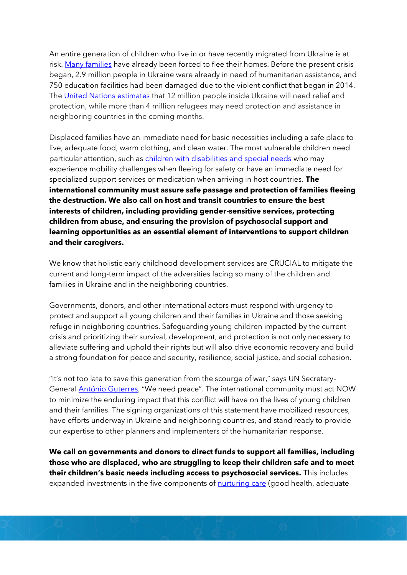An entire generation of children who live in or have recently migrated from Ukraine is at risk. [Many families](https://www.unhcr.org/news/briefing/2022/3/621deda74/unhcr-mobilizing-aid-forcibly-displaced-ukraine-neighbouring-countries.html) have already been forced to flee their homes. Before the present crisis began, 2.9 million people in Ukraine were already in need of humanitarian assistance, and 750 education facilities had been damaged due to the violent conflict that began in 2014. Th[e United Nations estimates](https://www.unhcr.org/news/press/2022/3/621e0aa74/un-seeks-us17-billion-humanitarian-needs-soar-ukraine-neighbouring-countries.html) that 12 million people inside Ukraine will need relief and protection, while more than 4 million refugees may need protection and assistance in neighboring countries in the coming months.

Displaced families have an immediate need for basic necessities including a safe place to live, adequate food, warm clothing, and clean water. The most vulnerable children need particular attention, such as [children with disabilities and special needs](https://www.easpd.eu/press-releases-detail/easpd-concrete-eu-action-needed-for-persons-with-disabilities-in-ukraine/) who may experience mobility challenges when fleeing for safety or have an immediate need for specialized support services or medication when arriving in host countries. **The international community must assure safe passage and protection of families fleeing the destruction. We also call on host and transit countries to ensure the best interests of children, including providing gender-sensitive services, protecting children from abuse, and ensuring the provision of psychosocial support and learning opportunities as an essential element of interventions to support children and their caregivers.**

We know that holistic early childhood development services are CRUCIAL to mitigate the current and long-term impact of the adversities facing so many of the children and families in Ukraine and in the neighboring countries.

Governments, donors, and other international actors must respond with urgency to protect and support all young children and their families in Ukraine and those seeking refuge in neighboring countries. Safeguarding young children impacted by the current crisis and prioritizing their survival, development, and protection is not only necessary to alleviate suffering and uphold their rights but will also drive economic recovery and build a strong foundation for peace and security, resilience, social justice, and social cohesion.

"It's not too late to save this generation from the scourge of war," says UN Secretary-General [António Guterres](https://news.un.org/en/story/2022/02/1112662), "We need peace". The international community must act NOW to minimize the enduring impact that this conflict will have on the lives of young children and their families. The signing organizations of this statement have mobilized resources, have efforts underway in Ukraine and neighboring countries, and stand ready to provide our expertise to other planners and implementers of the humanitarian response.

**We call on governments and donors to direct funds to support all families, including those who are displaced, who are struggling to keep their children safe and to meet their children's basic needs including access to psychosocial services.** This includes expanded investments in the five components of **nurturing care** (good health, adequate